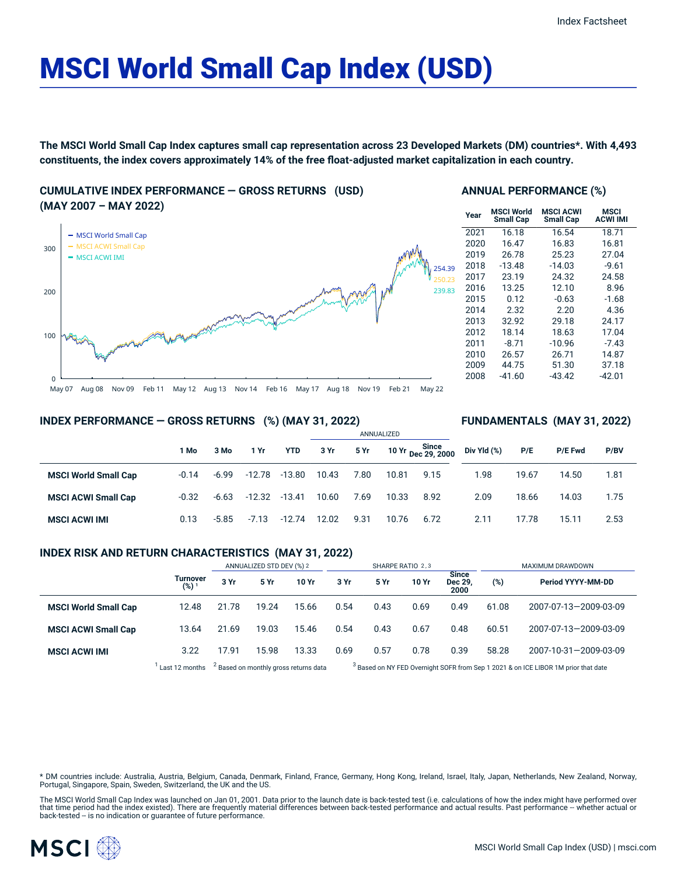# MSCI World Small Cap Index (USD)

The MSCI World Small Cap Index captures small cap representation across 23 Developed Markets (DM) countries\*. With 4,493 **constituents, the index covers approximately 14% of the free float-adjusted market capitalization in each country.**

#### **CUMULATIVE INDEX PERFORMANCE — GROSS RETURNS (USD) (MAY 2007 – MAY 2022)**



#### **ANNUAL PERFORMANCE (%)**

| Year | <b>MSCI World</b><br>Small Cap | <b>MSCI ACWI</b><br><b>Small Cap</b> | <b>MSCI</b><br><b>ACWI IMI</b> |  |  |  |  |
|------|--------------------------------|--------------------------------------|--------------------------------|--|--|--|--|
| 2021 | 16.18                          | 16.54                                | 18.71                          |  |  |  |  |
| 2020 | 16.47                          | 16.83                                | 16.81                          |  |  |  |  |
| 2019 | 26.78                          | 25.23                                | 27.04                          |  |  |  |  |
| 2018 | $-13.48$                       | $-14.03$                             | $-9.61$                        |  |  |  |  |
| 2017 | 23.19                          | 24.32                                | 24.58                          |  |  |  |  |
| 2016 | 13.25                          | 12.10                                | 8.96                           |  |  |  |  |
| 2015 | 0.12                           | $-0.63$                              | $-1.68$                        |  |  |  |  |
| 2014 | 2.32                           | 2.20                                 | 4.36                           |  |  |  |  |
| 2013 | 32.92                          | 29.18                                | 24.17                          |  |  |  |  |
| 2012 | 18.14                          | 18.63                                | 17.04                          |  |  |  |  |
| 2011 | $-8.71$                        | $-10.96$                             | $-7.43$                        |  |  |  |  |
| 2010 | 26.57                          | 26.71                                | 14.87                          |  |  |  |  |
| 2009 | 44.75                          | 51.30                                | 37.18                          |  |  |  |  |
| 2008 | $-41.60$                       | $-43.42$                             | -42.01                         |  |  |  |  |

**FUNDAMENTALS (MAY 31, 2022)**

#### **INDEX PERFORMANCE — GROSS RETURNS (%) (MAY 31, 2022)**

|                             |         |         |          |            | ANNUALIZED |      |       |                             |             |       |                |      |  |
|-----------------------------|---------|---------|----------|------------|------------|------|-------|-----------------------------|-------------|-------|----------------|------|--|
|                             | 1 Mo    | 3 Mo    | 1 Yr     | <b>YTD</b> | 3 Yr       | 5 Yr |       | 10 Yr Since<br>Dec 29, 2000 | Div Yld (%) | P/E   | <b>P/E Fwd</b> | P/BV |  |
| <b>MSCI World Small Cap</b> | $-0.14$ | $-6.99$ | $-12.78$ | $-13.80$   | 10.43      | 7.80 | 10.81 | 9.15                        | 1.98        | 19.67 | 14.50          | 1.81 |  |
| <b>MSCI ACWI Small Cap</b>  | $-0.32$ | $-6.63$ | $-12.32$ | $-13.41$   | 10.60      | 7.69 | 10.33 | 8.92                        | 2.09        | 18.66 | 14.03          | 1.75 |  |
| <b>MSCI ACWI IMI</b>        | 0.13    | $-5.85$ | $-7.13$  | $-12.74$   | 12.02      | 9.31 | 10.76 | 6.72                        | 2.11        | 17.78 | 15.11          | 2.53 |  |

#### **INDEX RISK AND RETURN CHARACTERISTICS (MAY 31, 2022)**

|                             |                              | ANNUALIZED STD DEV (%) 2                         |       |       | SHARPE RATIO 2,3 |                                                                                               |       |                          | MAXIMUM DRAWDOWN |                       |  |
|-----------------------------|------------------------------|--------------------------------------------------|-------|-------|------------------|-----------------------------------------------------------------------------------------------|-------|--------------------------|------------------|-----------------------|--|
|                             | Turnover<br>(%) <sup>1</sup> | 3 Yr                                             | 5 Yr  | 10 Yr | 3 Yr             | 5 Yr                                                                                          | 10 Yr | Since<br>Dec 29,<br>2000 | (%)              | Period YYYY-MM-DD     |  |
| <b>MSCI World Small Cap</b> | 12.48                        | 21.78                                            | 19.24 | 15.66 | 0.54             | 0.43                                                                                          | 0.69  | 0.49                     | 61.08            | 2007-07-13-2009-03-09 |  |
| <b>MSCI ACWI Small Cap</b>  | 13.64                        | 21.69                                            | 19.03 | 15.46 | 0.54             | 0.43                                                                                          | 0.67  | 0.48                     | 60.51            | 2007-07-13-2009-03-09 |  |
| <b>MSCI ACWI IMI</b>        | 3.22                         | 17.91                                            | 15.98 | 13.33 | 0.69             | 0.57                                                                                          | 0.78  | 0.39                     | 58.28            | 2007-10-31-2009-03-09 |  |
|                             | Last 12 months               | <sup>2</sup> Based on monthly gross returns data |       |       |                  | <sup>3</sup> Based on NY FED Overnight SOFR from Sep 1 2021 & on ICE LIBOR 1M prior that date |       |                          |                  |                       |  |

\* DM countries include: Australia, Austria, Belgium, Canada, Denmark, Finland, France, Germany, Hong Kong, Ireland, Israel, Italy, Japan, Netherlands, New Zealand, Norway,<br>Portugal, Singapore, Spain, Sweden, Switzerland, t

The MSCI World Small Cap Index was launched on Jan 01, 2001. Data prior to the launch date is back-tested test (i.e. calculations of how the index might have performed over<br>that time period had the index existed). There ar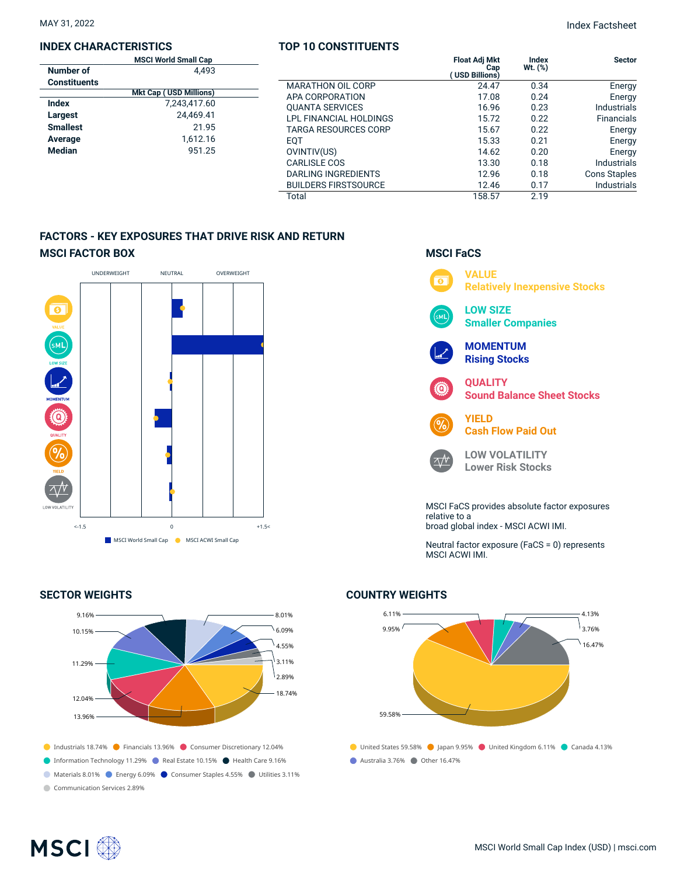#### **INDEX CHARACTERISTICS**

|                     | <b>MSCI World Small Cap</b>   |                             | <b>Float Adj Mkt</b>  | Index        | <b>Sector</b>       |
|---------------------|-------------------------------|-----------------------------|-----------------------|--------------|---------------------|
| Number of           | 4,493                         |                             | Cap<br>(USD Billions) | $Wt.$ $(\%)$ |                     |
| <b>Constituents</b> |                               | <b>MARATHON OIL CORP</b>    | 24.47                 | 0.34         | Energy              |
|                     | <b>Mkt Cap (USD Millions)</b> | APA CORPORATION             | 17.08                 | 0.24         | Energy              |
| <b>Index</b>        | 7,243,417.60                  | <b>QUANTA SERVICES</b>      | 16.96                 | 0.23         | <b>Industrials</b>  |
| Largest             | 24.469.41                     | LPL FINANCIAL HOLDINGS      | 15.72                 | 0.22         | <b>Financials</b>   |
| <b>Smallest</b>     | 21.95                         | TARGA RESOURCES CORP        | 15.67                 | 0.22         | Energy              |
| Average             | 1,612.16                      | <b>EQT</b>                  | 15.33                 | 0.21         | Energy              |
| <b>Median</b>       | 951.25                        | OVINTIV(US)                 | 14.62                 | 0.20         | Energy              |
|                     |                               | <b>CARLISLE COS</b>         | 13.30                 | 0.18         | <b>Industrials</b>  |
|                     |                               | DARLING INGREDIENTS         | 12.96                 | 0.18         | <b>Cons Staples</b> |
|                     |                               | <b>BUILDERS FIRSTSOURCE</b> | 12.46                 | 0.17         | <b>Industrials</b>  |
|                     |                               | Total                       | 158.57                | 2.19         |                     |

**TOP 10 CONSTITUENTS**

### **FACTORS - KEY EXPOSURES THAT DRIVE RISK AND RETURN MSCI FACTOR BOX**



#### **SECTOR WEIGHTS**



## **MSCI FaCS**



Neutral factor exposure (FaCS = 0) represents MSCI ACWI IMI.

#### **COUNTRY WEIGHTS**